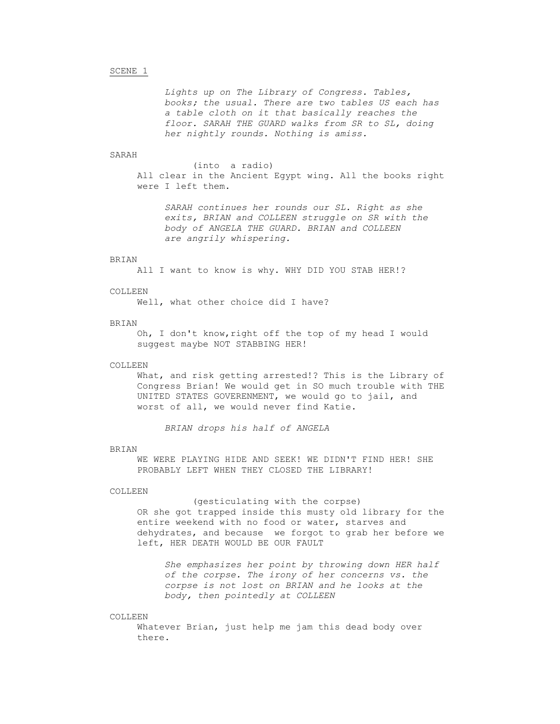# SCENE 1

*Lights up on The Library of Congress. Tables, books; the usual. There are two tables US each has a table cloth on it that basically reaches the floor. SARAH THE GUARD walks from SR to SL, doing her nightly rounds. Nothing is amiss.*

# SARAH

(into a radio) All clear in the Ancient Egypt wing. All the books right were I left them.

*SARAH continues her rounds our SL. Right as she exits, BRIAN and COLLEEN struggle on SR with the body of ANGELA THE GUARD. BRIAN and COLLEEN are angrily whispering.*

### BRIAN

All I want to know is why. WHY DID YOU STAB HER!?

### COLLEEN

Well, what other choice did I have?

# BRIAN

Oh, I don't know,right off the top of my head I would suggest maybe NOT STABBING HER!

#### COLLEEN

What, and risk getting arrested!? This is the Library of Congress Brian! We would get in SO much trouble with THE UNITED STATES GOVERENMENT, we would go to jail, and worst of all, we would never find Katie.

*BRIAN drops his half of ANGELA*

#### BRIAN

WE WERE PLAYING HIDE AND SEEK! WE DIDN'T FIND HER! SHE PROBABLY LEFT WHEN THEY CLOSED THE LIBRARY!

### COLLEEN

(gesticulating with the corpse) OR she got trapped inside this musty old library for the entire weekend with no food or water, starves and dehydrates, and because we forgot to grab her before we left, HER DEATH WOULD BE OUR FAULT

*She emphasizes her point by throwing down HER half of the corpse. The irony of her concerns vs. the corpse is not lost on BRIAN and he looks at the body, then pointedly at COLLEEN*

#### COLLEEN

Whatever Brian, just help me jam this dead body over there.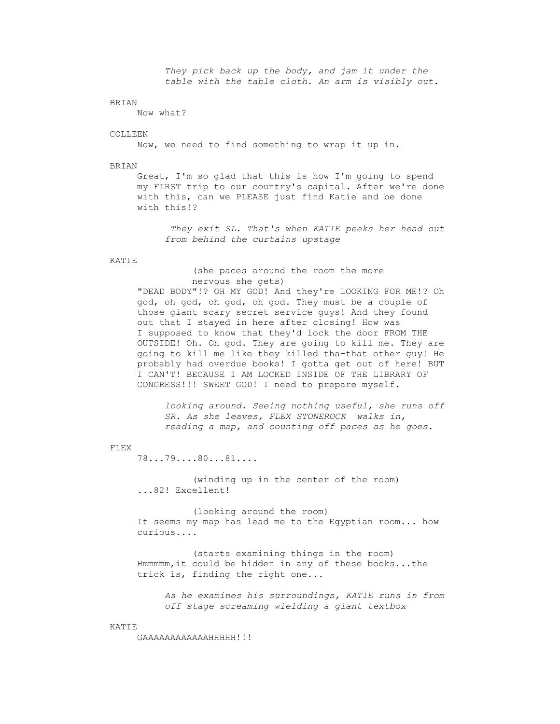*They pick back up the body, and jam it under the table with the table cloth. An arm is visibly out.*

#### BRIAN

Now what?

### COLLEEN

Now, we need to find something to wrap it up in.

#### BRIAN

Great, I'm so glad that this is how I'm going to spend my FIRST trip to our country's capital. After we're done with this, can we PLEASE just find Katie and be done with this!?

*They exit SL. That's when KATIE peeks her head out from behind the curtains upstage*

#### KATIE

(she paces around the room the more nervous she gets)

"DEAD BODY"!? OH MY GOD! And they're LOOKING FOR ME!? Oh god, oh god, oh god, oh god. They must be a couple of those giant scary secret service guys! And they found out that I stayed in here after closing! How was I supposed to know that they'd lock the door FROM THE OUTSIDE! Oh. Oh god. They are going to kill me. They are going to kill me like they killed tha-that other guy! He probably had overdue books! I gotta get out of here! BUT I CAN'T! BECAUSE I AM LOCKED INSIDE OF THE LIBRARY OF CONGRESS!!! SWEET GOD! I need to prepare myself.

*looking around. Seeing nothing useful, she runs off SR. As she leaves, FLEX STONEROCK walks in, reading a map, and counting off paces as he goes.*

### FLEX

78...79....80...81....

(winding up in the center of the room) ...82! Excellent!

(looking around the room) It seems my map has lead me to the Egyptian room... how curious....

(starts examining things in the room) Hmmmmm,it could be hidden in any of these books...the trick is, finding the right one...

*As he examines his surroundings, KATIE runs in from off stage screaming wielding a giant textbox*

### KATIE

GAAAAAAAAAAAAHHHHH!!!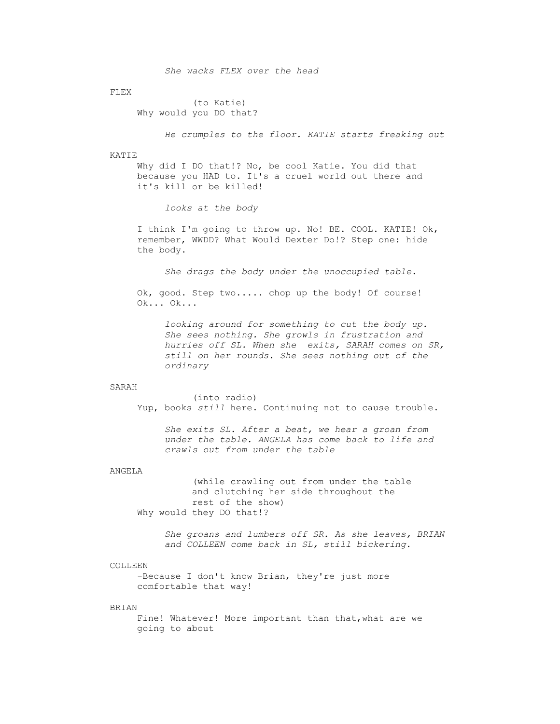*She wacks FLEX over the head*

FLEX

(to Katie) Why would you DO that?

*He crumples to the floor. KATIE starts freaking out*

# KATIE

Why did I DO that!? No, be cool Katie. You did that because you HAD to. It's a cruel world out there and it's kill or be killed!

*looks at the body*

I think I'm going to throw up. No! BE. COOL. KATIE! Ok, remember, WWDD? What Would Dexter Do!? Step one: hide the body.

*She drags the body under the unoccupied table.*

Ok, good. Step two..... chop up the body! Of course! Ok... Ok...

*looking around for something to cut the body up. She sees nothing. She growls in frustration and hurries off SL. When she exits, SARAH comes on SR, still on her rounds. She sees nothing out of the ordinary*

# SARAH

(into radio) Yup, books *still* here. Continuing not to cause trouble.

*She exits SL. After a beat, we hear a groan from under the table. ANGELA has come back to life and crawls out from under the table*

# ANGELA

(while crawling out from under the table and clutching her side throughout the rest of the show) Why would they DO that!?

*She groans and lumbers off SR. As she leaves, BRIAN and COLLEEN come back in SL, still bickering.*

### COLLEEN.

-Because I don't know Brian, they're just more comfortable that way!

# BRIAN

Fine! Whatever! More important than that,what are we going to about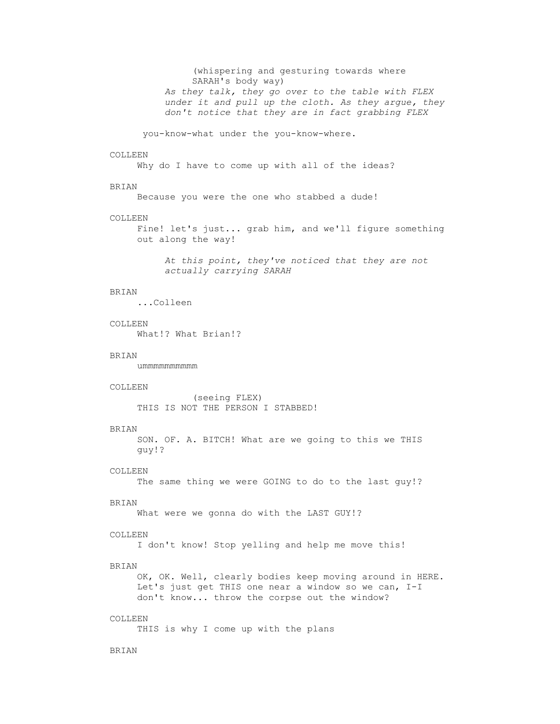(whispering and gesturing towards where SARAH's body way) *As they talk, they go over to the table with FLEX under it and pull up the cloth. As they argue, they don't notice that they are in fact grabbing FLEX* you-know-what under the you-know-where. COLLEEN Why do I have to come up with all of the ideas? BRIAN Because you were the one who stabbed a dude! COLLEEN Fine! let's just... grab him, and we'll figure something out along the way! *At this point, they've noticed that they are not actually carrying SARAH* BRIAN ...Colleen COLLEEN What!? What Brian!? BRIAN ummmmmmmmmm COLLEEN (seeing FLEX) THIS IS NOT THE PERSON I STABBED! BRIAN SON. OF. A. BITCH! What are we going to this we THIS guy!? COLLEEN The same thing we were GOING to do to the last guy!? BRIAN What were we gonna do with the LAST GUY!? COLLEEN I don't know! Stop yelling and help me move this! BRIAN OK, OK. Well, clearly bodies keep moving around in HERE. Let's just get THIS one near a window so we can, I-I don't know... throw the corpse out the window? COLLEEN THIS is why I come up with the plans BRIAN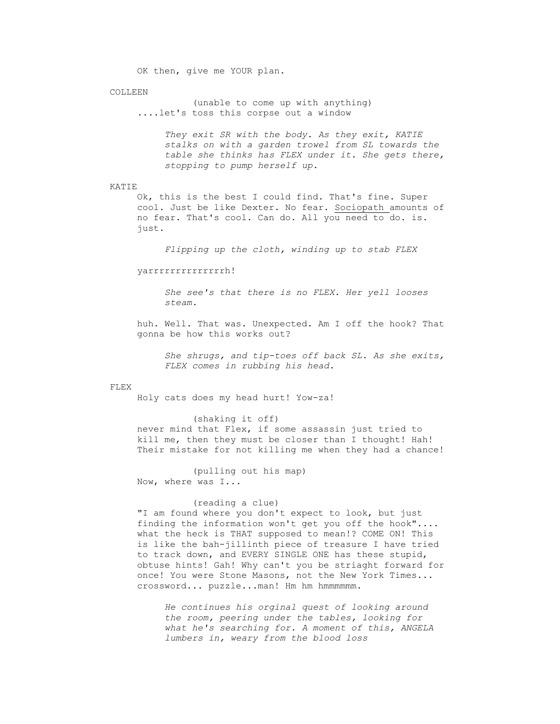OK then, give me YOUR plan.

#### COLLEEN

(unable to come up with anything) ....let's toss this corpse out a window

> *They exit SR with the body. As they exit, KATIE stalks on with a garden trowel from SL towards the table she thinks has FLEX under it. She gets there, stopping to pump herself up.*

### KATIE

Ok, this is the best I could find. That's fine. Super cool. Just be like Dexter. No fear. Sociopath amounts of no fear. That's cool. Can do. All you need to do. is. just.

*Flipping up the cloth, winding up to stab FLEX*

yarrrrrrrrrrrrrrh!

*She see's that there is no FLEX. Her yell looses steam.*

huh. Well. That was. Unexpected. Am I off the hook? That gonna be how this works out?

*She shrugs, and tip-toes off back SL. As she exits, FLEX comes in rubbing his head.*

### FLEX

Holy cats does my head hurt! Yow-za!

(shaking it off) never mind that Flex, if some assassin just tried to kill me, then they must be closer than I thought! Hah! Their mistake for not killing me when they had a chance!

(pulling out his map) Now, where was I...

# (reading a clue)

"I am found where you don't expect to look, but just finding the information won't get you off the hook".... what the heck is THAT supposed to mean!? COME ON! This is like the bah-jillinth piece of treasure I have tried to track down, and EVERY SINGLE ONE has these stupid, obtuse hints! Gah! Why can't you be striaght forward for once! You were Stone Masons, not the New York Times... crossword... puzzle...man! Hm hm hmmmmmm.

*He continues his orginal quest of looking around the room, peering under the tables, looking for what he's searching for. A moment of this, ANGELA lumbers in, weary from the blood loss*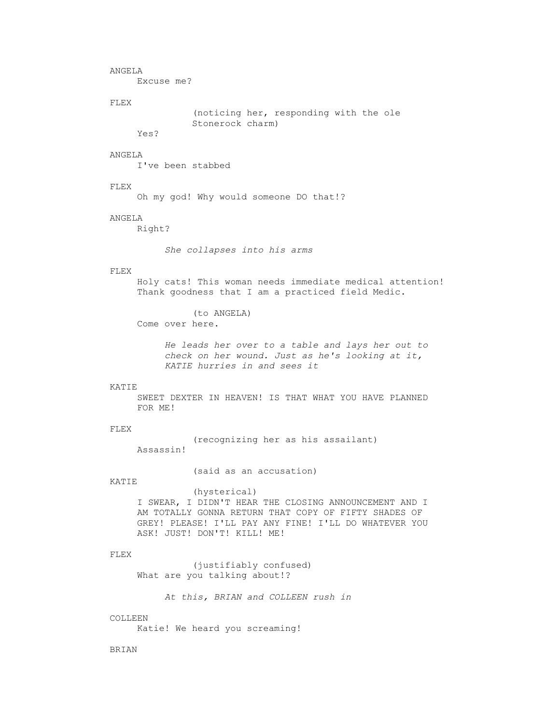ANGELA

Excuse me?

#### FLEX

(noticing her, responding with the ole Stonerock charm)

Yes?

# ANGELA

I've been stabbed

# FLEX

Oh my god! Why would someone DO that!?

# ANGELA

Right?

*She collapses into his arms*

# FLEX

Holy cats! This woman needs immediate medical attention! Thank goodness that I am a practiced field Medic.

(to ANGELA)

Come over here.

*He leads her over to a table and lays her out to check on her wound. Just as he's looking at it, KATIE hurries in and sees it*

# KATIE

SWEET DEXTER IN HEAVEN! IS THAT WHAT YOU HAVE PLANNED FOR ME!

### FLEX

(recognizing her as his assailant) Assassin!

(said as an accusation)

### KATIE

(hysterical) I SWEAR, I DIDN'T HEAR THE CLOSING ANNOUNCEMENT AND I AM TOTALLY GONNA RETURN THAT COPY OF FIFTY SHADES OF GREY! PLEASE! I'LL PAY ANY FINE! I'LL DO WHATEVER YOU ASK! JUST! DON'T! KILL! ME!

#### FLEX

(justifiably confused) What are you talking about!?

*At this, BRIAN and COLLEEN rush in*

#### COLLEEN

Katie! We heard you screaming!

BRIAN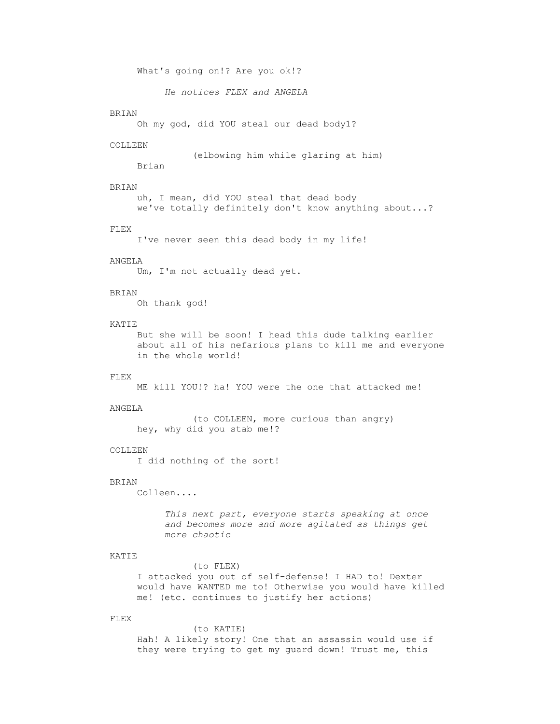What's going on!? Are you ok!?

*He notices FLEX and ANGELA*

# BRIAN

Oh my god, did YOU steal our dead body1?

#### COLLEEN

(elbowing him while glaring at him)

Brian

# BRIAN

uh, I mean, did YOU steal that dead body we've totally definitely don't know anything about...?

### FLEX

I've never seen this dead body in my life!

# ANGELA

Um, I'm not actually dead yet.

# BRIAN

Oh thank god!

# KATIE

But she will be soon! I head this dude talking earlier about all of his nefarious plans to kill me and everyone in the whole world!

### FLEX

ME kill YOU!? ha! YOU were the one that attacked me!

# ANGELA

(to COLLEEN, more curious than angry) hey, why did you stab me!?

# COLLEEN

I did nothing of the sort!

#### BRIAN

Colleen....

*This next part, everyone starts speaking at once and becomes more and more agitated as things get more chaotic*

# KATIE

# (to FLEX)

I attacked you out of self-defense! I HAD to! Dexter would have WANTED me to! Otherwise you would have killed me! (etc. continues to justify her actions)

# FLEX

(to KATIE) Hah! A likely story! One that an assassin would use if they were trying to get my guard down! Trust me, this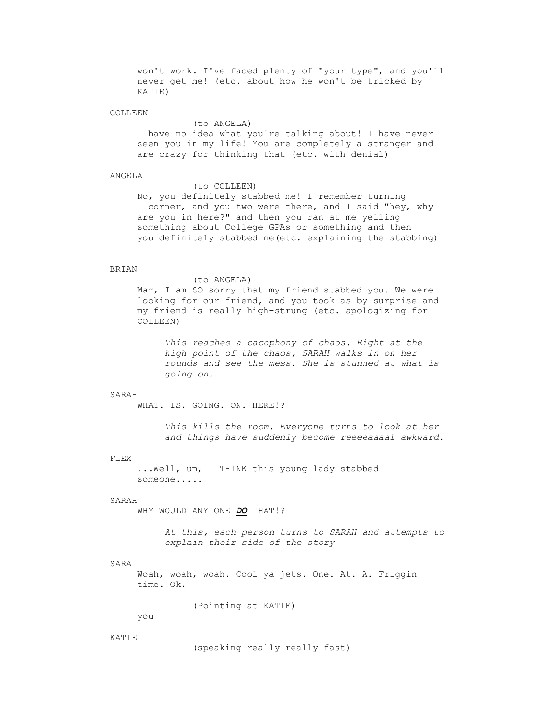won't work. I've faced plenty of "your type", and you'll never get me! (etc. about how he won't be tricked by KATIE)

### COLLEEN

### (to ANGELA)

I have no idea what you're talking about! I have never seen you in my life! You are completely a stranger and are crazy for thinking that (etc. with denial)

### ANGELA

#### (to COLLEEN)

No, you definitely stabbed me! I remember turning I corner, and you two were there, and I said "hey, why are you in here?" and then you ran at me yelling something about College GPAs or something and then you definitely stabbed me(etc. explaining the stabbing)

# BRIAN

#### (to ANGELA)

Mam, I am SO sorry that my friend stabbed you. We were looking for our friend, and you took as by surprise and my friend is really high-strung (etc. apologizing for COLLEEN)

*This reaches a cacophony of chaos. Right at the high point of the chaos, SARAH walks in on her rounds and see the mess. She is stunned at what is going on.*

# SARAH

WHAT. IS. GOING. ON. HERE!?

*This kills the room. Everyone turns to look at her and things have suddenly become reeeeaaaal awkward.*

### FLEX

...Well, um, I THINK this young lady stabbed someone.....

### SARAH

WHY WOULD ANY ONE *DO* THAT!?

*At this, each person turns to SARAH and attempts to explain their side of the story*

# SARA

Woah, woah, woah. Cool ya jets. One. At. A. Friggin time. Ok.

(Pointing at KATIE)

you

#### KATIE

(speaking really really fast)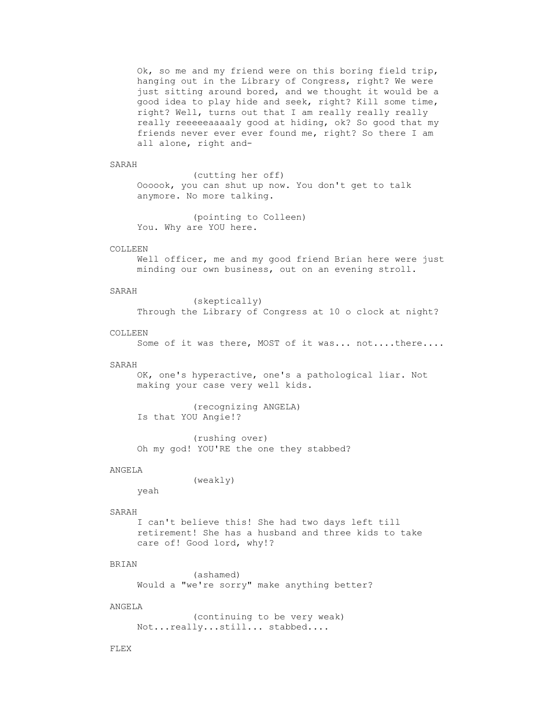Ok, so me and my friend were on this boring field trip, hanging out in the Library of Congress, right? We were just sitting around bored, and we thought it would be a good idea to play hide and seek, right? Kill some time, right? Well, turns out that I am really really really really reeeeeaaaaly good at hiding, ok? So good that my friends never ever ever found me, right? So there I am all alone, right and-

#### SARAH

(cutting her off) Oooook, you can shut up now. You don't get to talk anymore. No more talking.

(pointing to Colleen) You. Why are YOU here.

### COLLEEN.

Well officer, me and my good friend Brian here were just minding our own business, out on an evening stroll.

#### SARAH

(skeptically) Through the Library of Congress at 10 o clock at night?

# COLLEEN

```
Some of it was there, MOST of it was... not....there....
```
# SARAH

OK, one's hyperactive, one's a pathological liar. Not making your case very well kids.

(recognizing ANGELA) Is that YOU Angie!?

(rushing over) Oh my god! YOU'RE the one they stabbed?

#### ANGELA

(weakly)

# SARAH

yeah

I can't believe this! She had two days left till retirement! She has a husband and three kids to take care of! Good lord, why!?

# BRIAN

(ashamed) Would a "we're sorry" make anything better?

# ANGELA

(continuing to be very weak) Not...really...still... stabbed....

### FLEX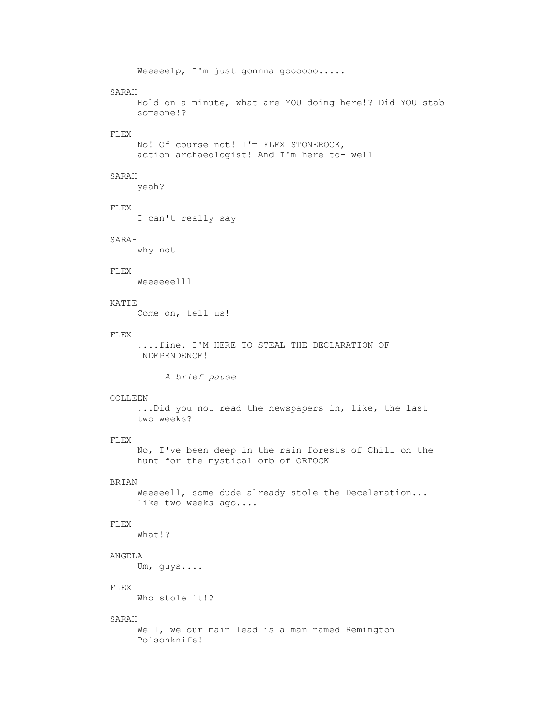Weeeeelp, I'm just gonnna goooooo..... SARAH Hold on a minute, what are YOU doing here!? Did YOU stab someone!? FLEX No! Of course not! I'm FLEX STONEROCK, action archaeologist! And I'm here to- well SARAH yeah? FLEX I can't really say SARAH why not FLEX Weeeeeelll KATIE Come on, tell us! FLEX ....fine. I'M HERE TO STEAL THE DECLARATION OF INDEPENDENCE! *A brief pause* COLLEEN ...Did you not read the newspapers in, like, the last two weeks? FLEX No, I've been deep in the rain forests of Chili on the hunt for the mystical orb of ORTOCK BRIAN Weeeeell, some dude already stole the Deceleration... like two weeks ago.... FLEX What!? ANGELA Um, guys.... FLEX Who stole it!? SARAH Well, we our main lead is a man named Remington Poisonknife!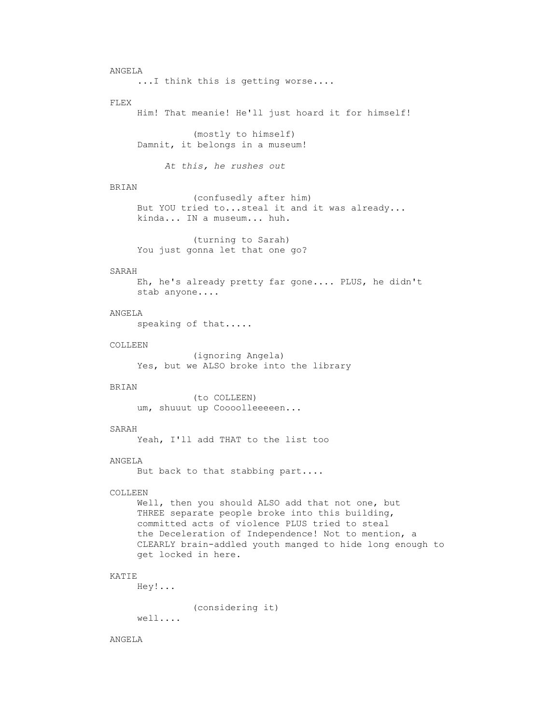```
ANGELA
     ... I think this is getting worse....
FLEX
     Him! That meanie! He'll just hoard it for himself!
               (mostly to himself)
     Damnit, it belongs in a museum!
          At this, he rushes out
BRIAN
               (confusedly after him)
     But YOU tried to...steal it and it was already... 
     kinda... IN a museum... huh.
               (turning to Sarah)
     You just gonna let that one go?
SARAH
    Eh, he's already pretty far gone.... PLUS, he didn't 
     stab anyone....
ANGELA
     speaking of that.....
COLLEEN
               (ignoring Angela)
     Yes, but we ALSO broke into the library
BRIAN
               (to COLLEEN)
    um, shuuut up Coooolleeeeen...
SARAH
     Yeah, I'll add THAT to the list too
ANGELA
     But back to that stabbing part....
COLLEEN
     Well, then you should ALSO add that not one, but 
     THREE separate people broke into this building, 
     committed acts of violence PLUS tried to steal 
     the Deceleration of Independence! Not to mention, a 
     CLEARLY brain-addled youth manged to hide long enough to 
     get locked in here.
KATIE
     Hey!...
               (considering it)
     well....
```
# ANGELA